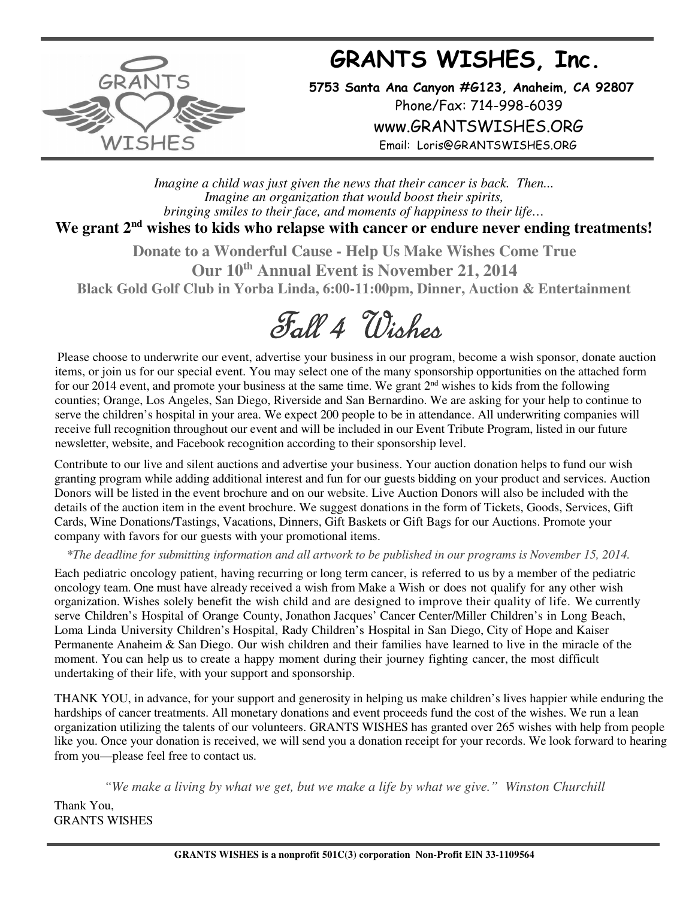## **GRANTS WISHES, Inc.**



**5753 Santa Ana Canyon #G123, Anaheim, CA 92807** Phone/Fax: 714-998-6039 www.GRANTSWISHES.ORG Email: Loris@GRANTSWISHES.ORG

*Imagine a child was just given the news that their cancer is back. Then... Imagine an organization that would boost their spirits, bringing smiles to their face, and moments of happiness to their life…*

## We grant 2<sup>nd</sup> wishes to kids who relapse with cancer or endure never ending treatments!

**Donate to a Wonderful Cause - Help Us Make Wishes Come True Our 10th Annual Event is November 21, 2014 Black Gold Golf Club in Yorba Linda, 6:00-11:00pm, Dinner, Auction & Entertainment** 



Please choose to underwrite our event, advertise your business in our program, become a wish sponsor, donate auction items, or join us for our special event. You may select one of the many sponsorship opportunities on the attached form for our 2014 event, and promote your business at the same time. We grant 2nd wishes to kids from the following counties; Orange, Los Angeles, San Diego, Riverside and San Bernardino. We are asking for your help to continue to serve the children's hospital in your area. We expect 200 people to be in attendance. All underwriting companies will receive full recognition throughout our event and will be included in our Event Tribute Program, listed in our future newsletter, website, and Facebook recognition according to their sponsorship level.

Contribute to our live and silent auctions and advertise your business. Your auction donation helps to fund our wish granting program while adding additional interest and fun for our guests bidding on your product and services. Auction Donors will be listed in the event brochure and on our website. Live Auction Donors will also be included with the details of the auction item in the event brochure. We suggest donations in the form of Tickets, Goods, Services, Gift Cards, Wine Donations/Tastings, Vacations, Dinners, Gift Baskets or Gift Bags for our Auctions. Promote your company with favors for our guests with your promotional items.

 *\*The deadline for submitting information and all artwork to be published in our programs is November 15, 2014.* 

Each pediatric oncology patient, having recurring or long term cancer, is referred to us by a member of the pediatric oncology team. One must have already received a wish from Make a Wish or does not qualify for any other wish organization. Wishes solely benefit the wish child and are designed to improve their quality of life. We currently serve Children's Hospital of Orange County, Jonathon Jacques' Cancer Center/Miller Children's in Long Beach, Loma Linda University Children's Hospital, Rady Children's Hospital in San Diego, City of Hope and Kaiser Permanente Anaheim & San Diego. Our wish children and their families have learned to live in the miracle of the moment. You can help us to create a happy moment during their journey fighting cancer, the most difficult undertaking of their life, with your support and sponsorship.

THANK YOU, in advance, for your support and generosity in helping us make children's lives happier while enduring the hardships of cancer treatments. All monetary donations and event proceeds fund the cost of the wishes. We run a lean organization utilizing the talents of our volunteers. GRANTS WISHES has granted over 265 wishes with help from people like you. Once your donation is received, we will send you a donation receipt for your records. We look forward to hearing from you—please feel free to contact us.

*"We make a living by what we get, but we make a life by what we give." Winston Churchill*

Thank You, GRANTS WISHES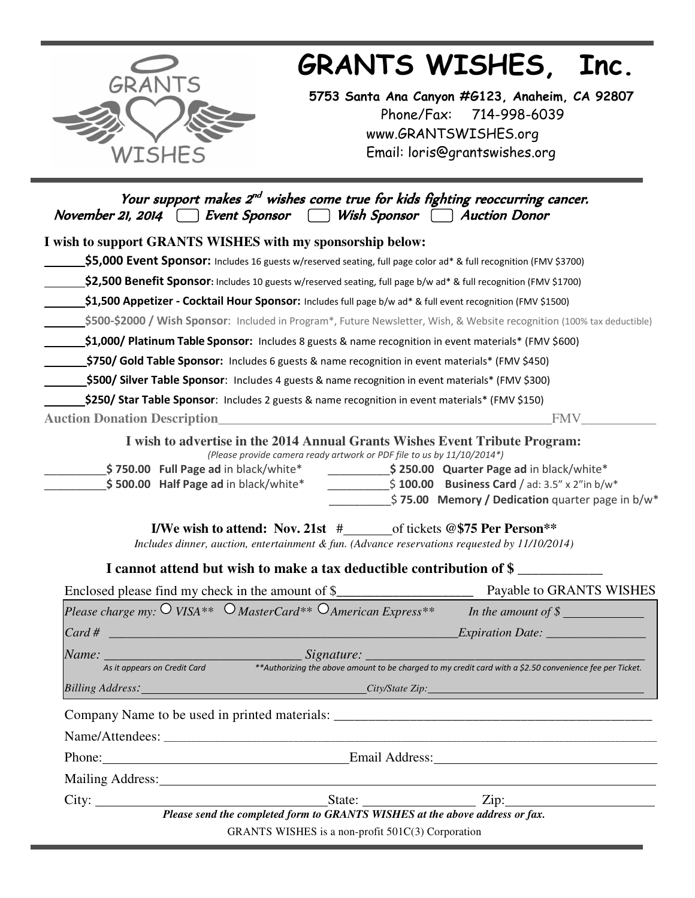